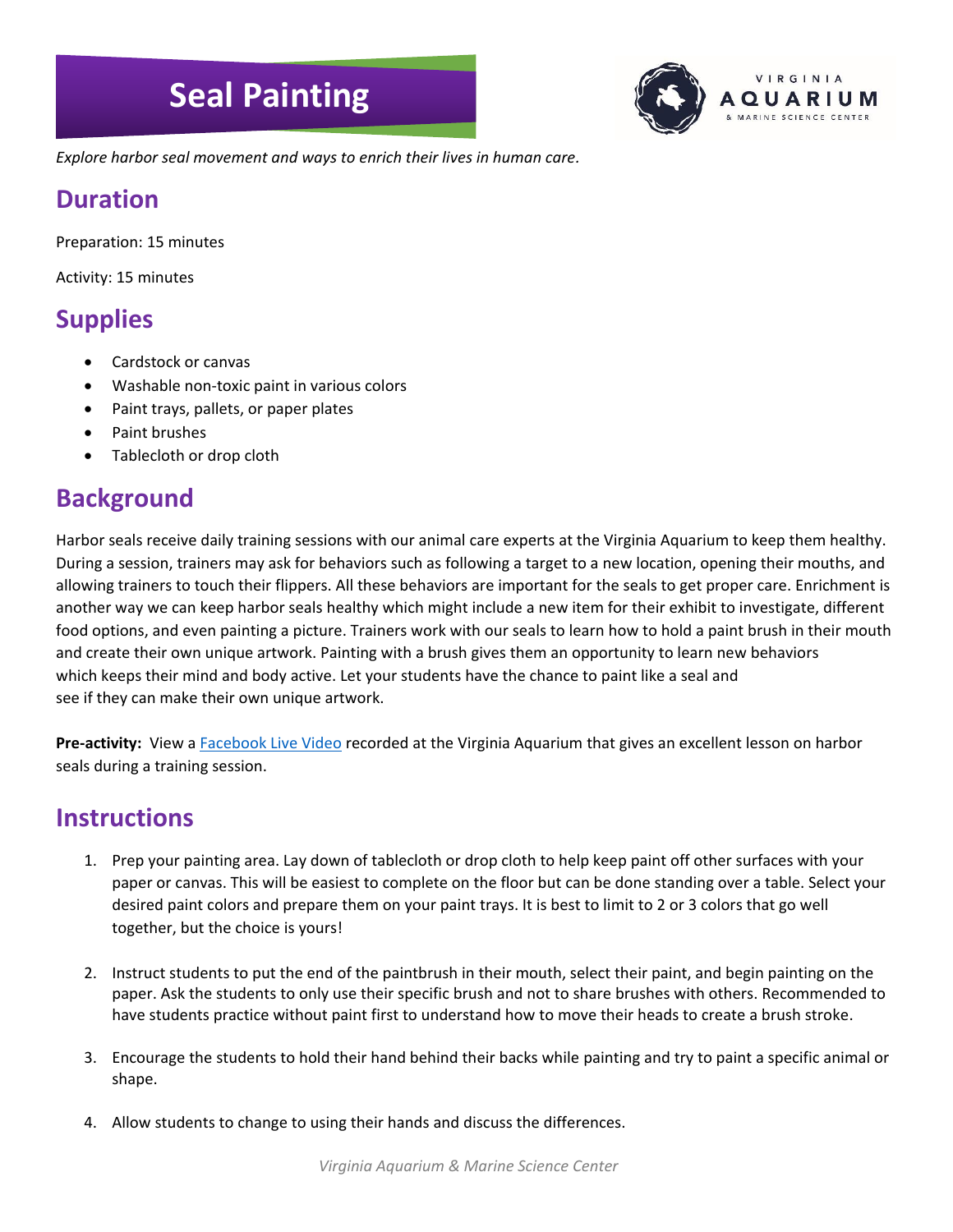# **Seal Painting**



*Explore harbor seal movement and ways to enrich their lives in human care.*

#### **Duration**

Preparation: 15 minutes

Activity: 15 minutes

### **Supplies**

- Cardstock or canvas
- Washable non-toxic paint in various colors
- Paint trays, pallets, or paper plates
- Paint brushes
- Tablecloth or drop cloth

#### **Background**

Harbor seals receive daily training sessions with our animal care experts at the Virginia Aquarium to keep them healthy. During a session, trainers may ask for behaviors such as following a target to a new location, opening their mouths, and allowing trainers to touch their flippers. All these behaviors are important for the seals to get proper care. Enrichment is another way we can keep harbor seals healthy which might include a new item for their exhibit to investigate, different food options, and even painting a picture. Trainers work with our seals to learn how to hold a paint brush in their mouth and create their own unique artwork. Painting with a brush gives them an opportunity to learn new behaviors which keeps their mind and body active. Let your students have the chance to paint like a seal and see if they can make their own unique artwork.

**Pre-activity:** View a [Facebook Live Video](https://www.facebook.com/watch/live/?v=519648051943235¬if_id=1586441293217613¬if_t=live_video) recorded at the Virginia Aquarium that gives an excellent lesson on harbor seals during a training session.

#### **Instructions**

- 1. Prep your painting area. Lay down of tablecloth or drop cloth to help keep paint off other surfaces with your paper or canvas. This will be easiest to complete on the floor but can be done standing over a table. Select your desired paint colors and prepare them on your paint trays. It is best to limit to 2 or 3 colors that go well together, but the choice is yours!
- 2. Instruct students to put the end of the paintbrush in their mouth, select their paint, and begin painting on the paper. Ask the students to only use their specific brush and not to share brushes with others. Recommended to have students practice without paint first to understand how to move their heads to create a brush stroke.
- 3. Encourage the students to hold their hand behind their backs while painting and try to paint a specific animal or shape.
- 4. Allow students to change to using their hands and discuss the differences.